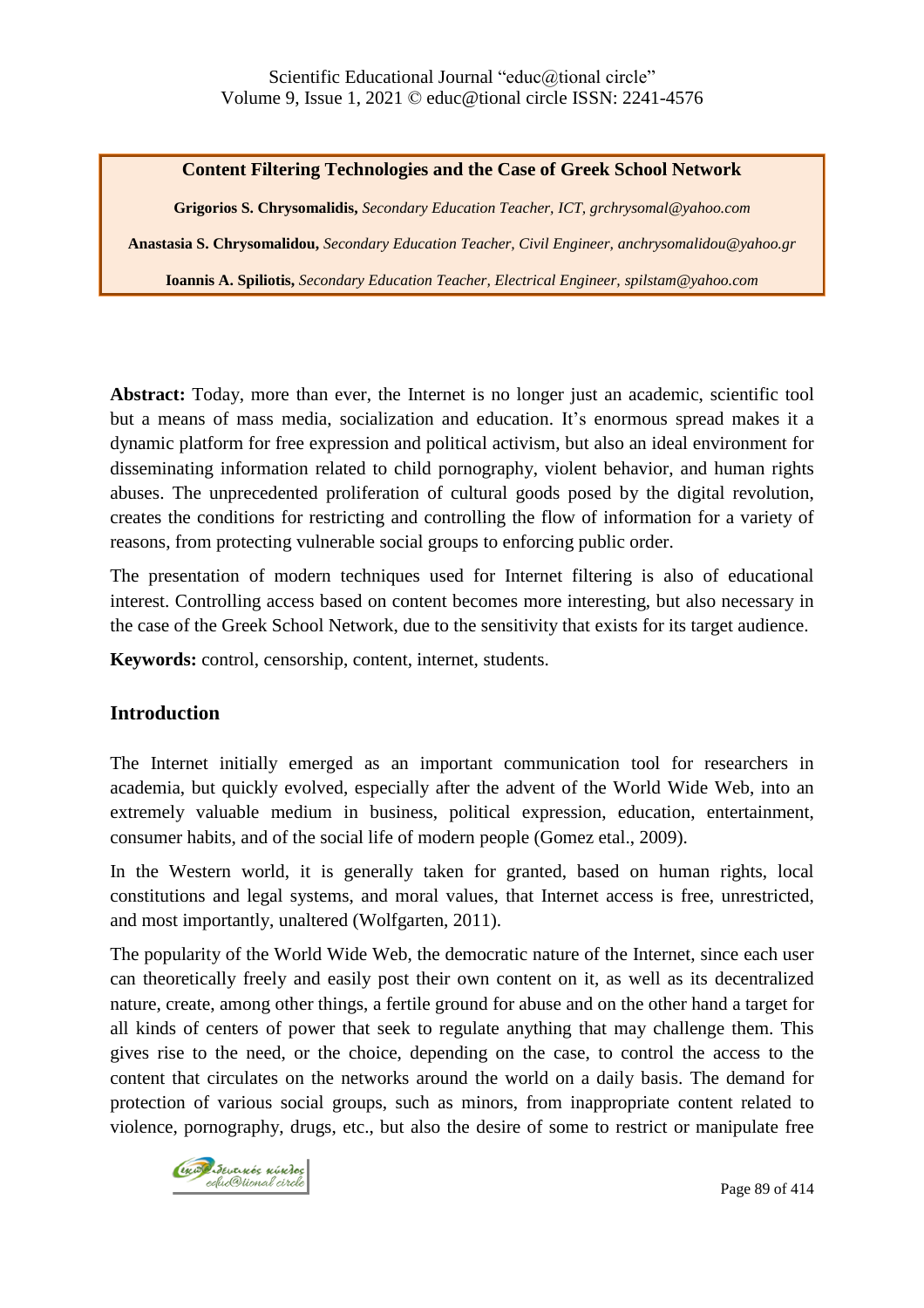#### **Content Filtering Technologies and the Case of Greek School Network**

**Grigorios S. Chrysomalidis,** *Secondary Education Teacher, ICT, grchrysomal@yahoo.com* **Anastasia S. Chrysomalidou,** *Secondary Education Teacher, Civil Engineer, [anchrysomalidou@yahoo.gr](mailto:anchrysomalidou@yahoo.gr)*

**Ioannis A. Spiliotis,** *Secondary Education Teacher, Electrical Engineer, [spilstam@yahoo.com](mailto:spilstam@yahoo.com)*

**Abstract:** Today, more than ever, the Internet is no longer just an academic, scientific tool but a means of mass media, socialization and education. It's enormous spread makes it a dynamic platform for free expression and political activism, but also an ideal environment for disseminating information related to child pornography, violent behavior, and human rights abuses. The unprecedented proliferation of cultural goods posed by the digital revolution, creates the conditions for restricting and controlling the flow of information for a variety of reasons, from protecting vulnerable social groups to enforcing public order.

The presentation of modern techniques used for Internet filtering is also of educational interest. Controlling access based on content becomes more interesting, but also necessary in the case of the Greek School Network, due to the sensitivity that exists for its target audience.

**Keywords:** control, censorship, content, internet, students.

## **Introduction**

The Internet initially emerged as an important communication tool for researchers in academia, but quickly evolved, especially after the advent of the World Wide Web, into an extremely valuable medium in business, political expression, education, entertainment, consumer habits, and of the social life of modern people (Gomez etal., 2009).

In the Western world, it is generally taken for granted, based on human rights, local constitutions and legal systems, and moral values, that Internet access is free, unrestricted, and most importantly, unaltered (Wolfgarten, 2011).

The popularity of the World Wide Web, the democratic nature of the Internet, since each user can theoretically freely and easily post their own content on it, as well as its decentralized nature, create, among other things, a fertile ground for abuse and on the other hand a target for all kinds of centers of power that seek to regulate anything that may challenge them. This gives rise to the need, or the choice, depending on the case, to control the access to the content that circulates on the networks around the world on a daily basis. The demand for protection of various social groups, such as minors, from inappropriate content related to violence, pornography, drugs, etc., but also the desire of some to restrict or manipulate free

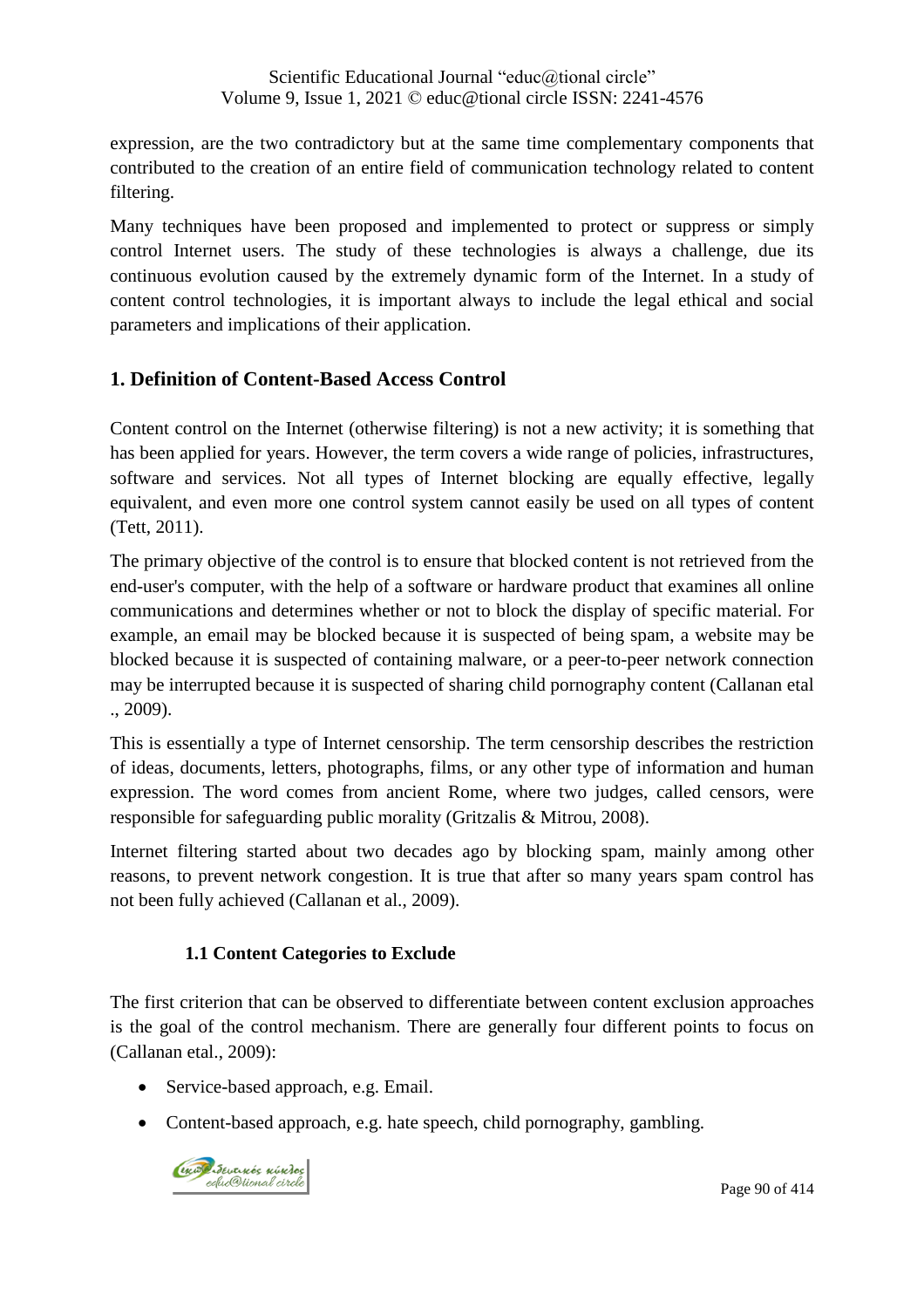expression, are the two contradictory but at the same time complementary components that contributed to the creation of an entire field of communication technology related to content filtering.

Many techniques have been proposed and implemented to protect or suppress or simply control Internet users. The study of these technologies is always a challenge, due its continuous evolution caused by the extremely dynamic form of the Internet. In a study of content control technologies, it is important always to include the legal ethical and social parameters and implications of their application.

# **1. Definition of Content-Based Access Control**

Content control on the Internet (otherwise filtering) is not a new activity; it is something that has been applied for years. However, the term covers a wide range of policies, infrastructures, software and services. Not all types of Internet blocking are equally effective, legally equivalent, and even more one control system cannot easily be used on all types of content (Tett, 2011).

The primary objective of the control is to ensure that blocked content is not retrieved from the end-user's computer, with the help of a software or hardware product that examines all online communications and determines whether or not to block the display of specific material. For example, an email may be blocked because it is suspected of being spam, a website may be blocked because it is suspected of containing malware, or a peer-to-peer network connection may be interrupted because it is suspected of sharing child pornography content (Callanan etal ., 2009).

This is essentially a type of Internet censorship. The term censorship describes the restriction of ideas, documents, letters, photographs, films, or any other type of information and human expression. The word comes from ancient Rome, where two judges, called censors, were responsible for safeguarding public morality (Gritzalis & Mitrou, 2008).

Internet filtering started about two decades ago by blocking spam, mainly among other reasons, to prevent network congestion. It is true that after so many years spam control has not been fully achieved (Callanan et al., 2009).

# **1.1 Content Categories to Exclude**

The first criterion that can be observed to differentiate between content exclusion approaches is the goal of the control mechanism. There are generally four different points to focus on (Callanan etal., 2009):

- Service-based approach, e.g. Email.
- Content-based approach, e.g. hate speech, child pornography, gambling.

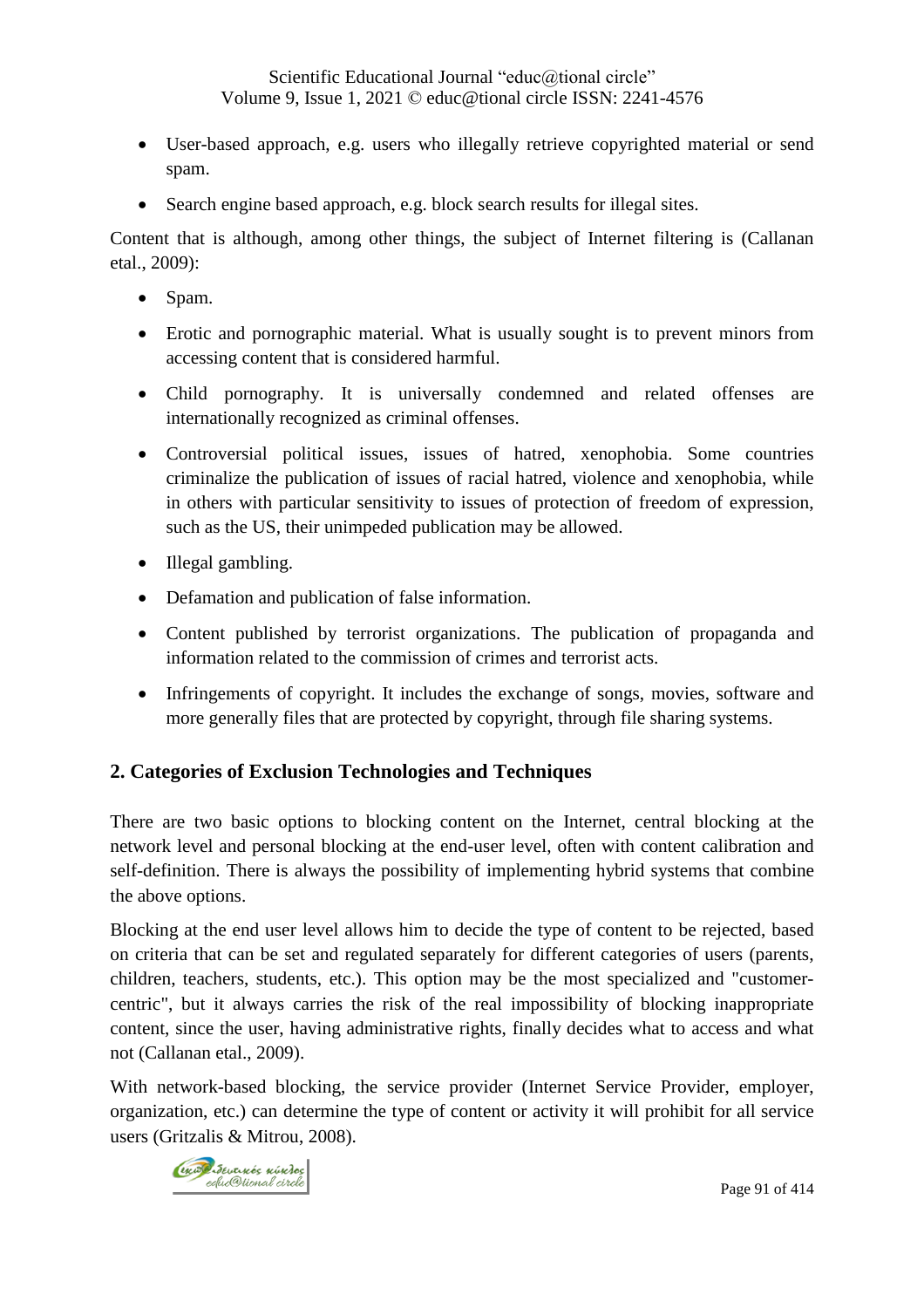- User-based approach, e.g. users who illegally retrieve copyrighted material or send spam.
- Search engine based approach, e.g. block search results for illegal sites.

Content that is although, among other things, the subject of Internet filtering is (Callanan etal., 2009):

- Spam.
- Erotic and pornographic material. What is usually sought is to prevent minors from accessing content that is considered harmful.
- Child pornography. It is universally condemned and related offenses are internationally recognized as criminal offenses.
- Controversial political issues, issues of hatred, xenophobia. Some countries criminalize the publication of issues of racial hatred, violence and xenophobia, while in others with particular sensitivity to issues of protection of freedom of expression, such as the US, their unimpeded publication may be allowed.
- Illegal gambling.
- Defamation and publication of false information.
- Content published by terrorist organizations. The publication of propaganda and information related to the commission of crimes and terrorist acts.
- Infringements of copyright. It includes the exchange of songs, movies, software and more generally files that are protected by copyright, through file sharing systems.

# **2. Categories of Exclusion Technologies and Techniques**

There are two basic options to blocking content on the Internet, central blocking at the network level and personal blocking at the end-user level, often with content calibration and self-definition. There is always the possibility of implementing hybrid systems that combine the above options.

Blocking at the end user level allows him to decide the type of content to be rejected, based on criteria that can be set and regulated separately for different categories of users (parents, children, teachers, students, etc.). This option may be the most specialized and "customercentric", but it always carries the risk of the real impossibility of blocking inappropriate content, since the user, having administrative rights, finally decides what to access and what not (Callanan etal., 2009).

With network-based blocking, the service provider (Internet Service Provider, employer, organization, etc.) can determine the type of content or activity it will prohibit for all service users (Gritzalis & Mitrou, 2008).

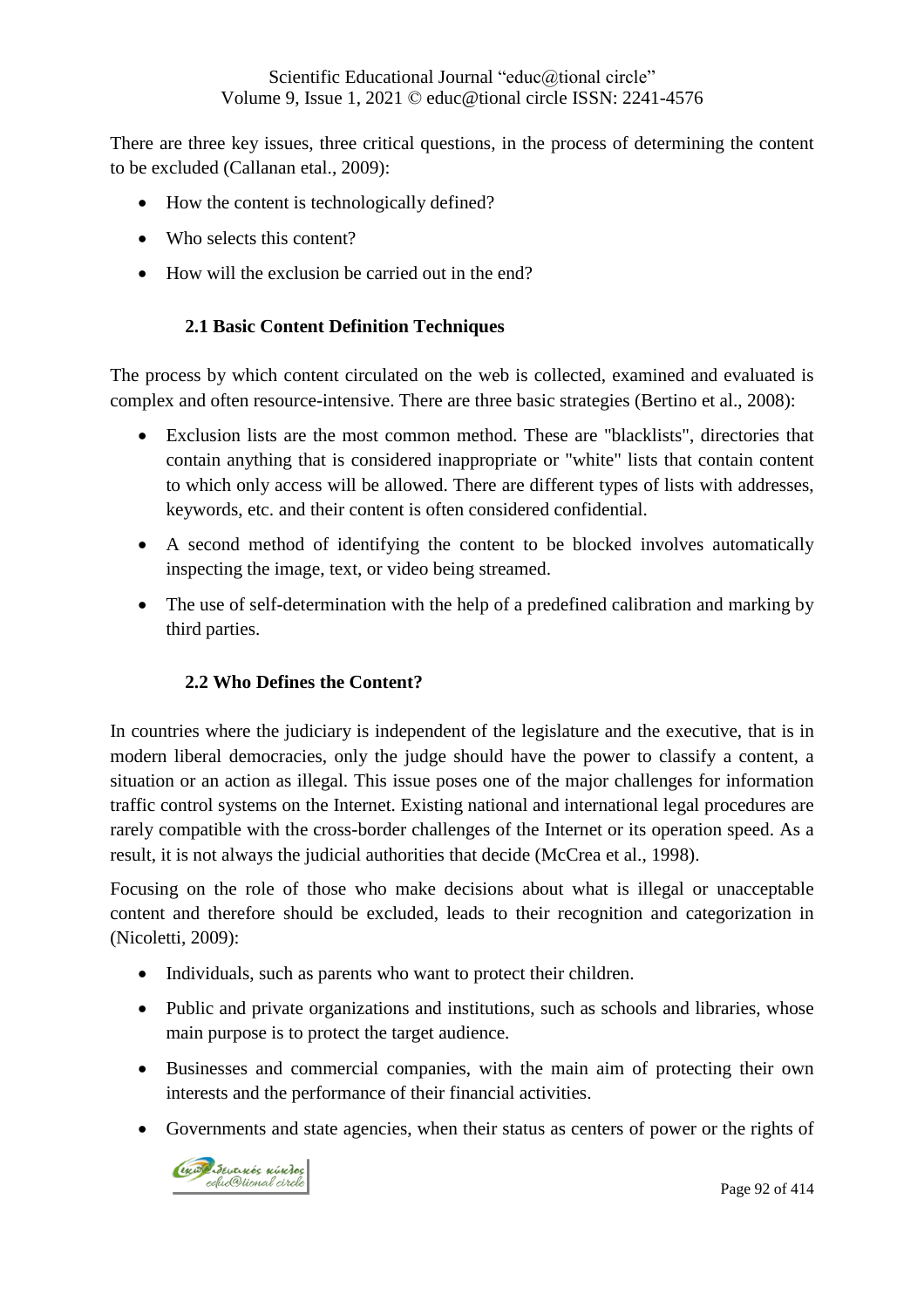There are three key issues, three critical questions, in the process of determining the content to be excluded (Callanan etal., 2009):

- How the content is technologically defined?
- Who selects this content?
- How will the exclusion be carried out in the end?

#### **2.1 Basic Content Definition Techniques**

The process by which content circulated on the web is collected, examined and evaluated is complex and often resource-intensive. There are three basic strategies (Bertino et al., 2008):

- Exclusion lists are the most common method. These are "blacklists", directories that contain anything that is considered inappropriate or "white" lists that contain content to which only access will be allowed. There are different types of lists with addresses, keywords, etc. and their content is often considered confidential.
- A second method of identifying the content to be blocked involves automatically inspecting the image, text, or video being streamed.
- The use of self-determination with the help of a predefined calibration and marking by third parties.

#### **2.2 Who Defines the Content?**

In countries where the judiciary is independent of the legislature and the executive, that is in modern liberal democracies, only the judge should have the power to classify a content, a situation or an action as illegal. This issue poses one of the major challenges for information traffic control systems on the Internet. Existing national and international legal procedures are rarely compatible with the cross-border challenges of the Internet or its operation speed. As a result, it is not always the judicial authorities that decide (McCrea et al., 1998).

Focusing on the role of those who make decisions about what is illegal or unacceptable content and therefore should be excluded, leads to their recognition and categorization in (Nicoletti, 2009):

- Individuals, such as parents who want to protect their children.
- Public and private organizations and institutions, such as schools and libraries, whose main purpose is to protect the target audience.
- Businesses and commercial companies, with the main aim of protecting their own interests and the performance of their financial activities.
- Governments and state agencies, when their status as centers of power or the rights of

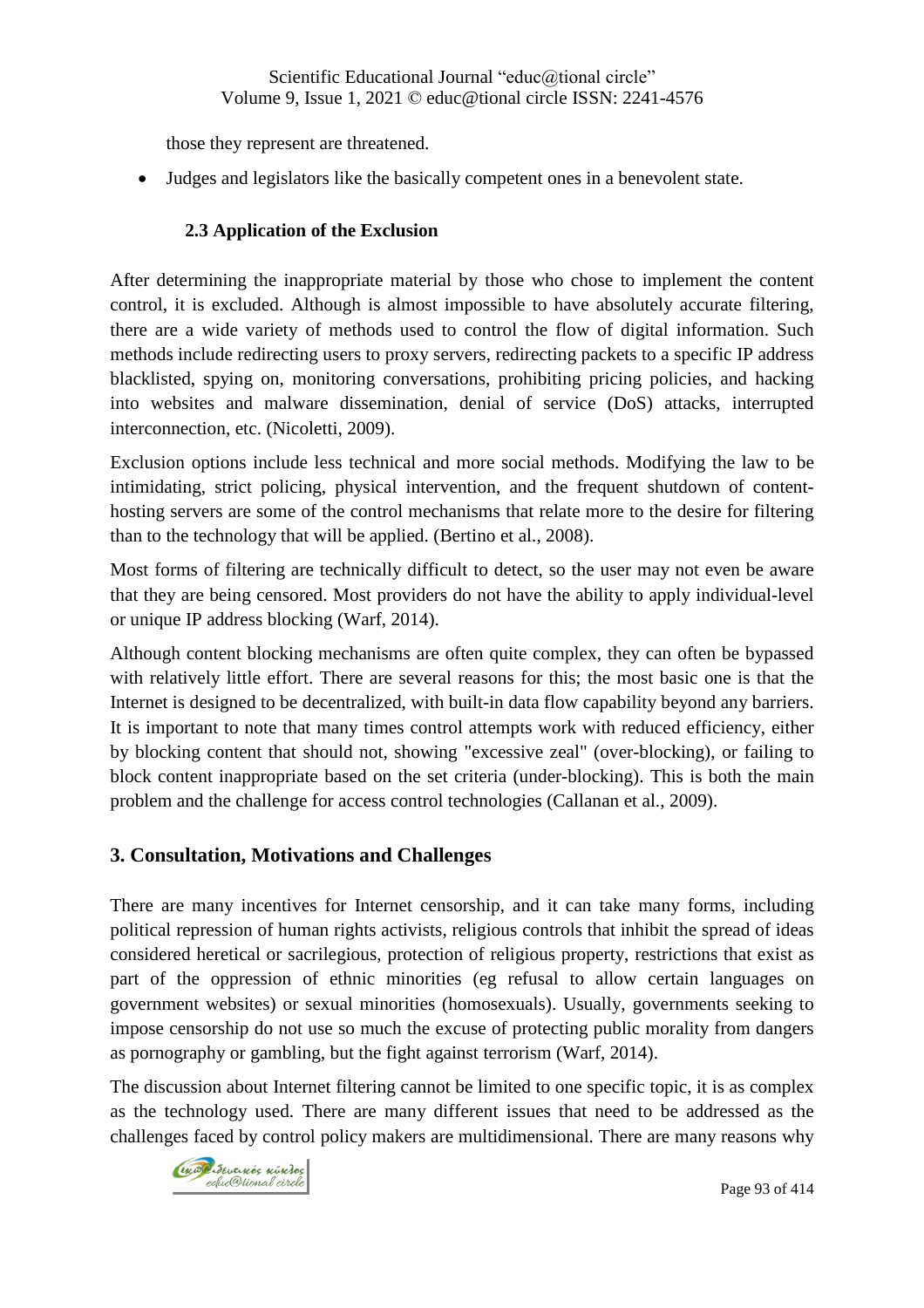those they represent are threatened.

Judges and legislators like the basically competent ones in a benevolent state.

## **2.3 Application of the Exclusion**

After determining the inappropriate material by those who chose to implement the content control, it is excluded. Although is almost impossible to have absolutely accurate filtering, there are a wide variety of methods used to control the flow of digital information. Such methods include redirecting users to proxy servers, redirecting packets to a specific IP address blacklisted, spying on, monitoring conversations, prohibiting pricing policies, and hacking into websites and malware dissemination, denial of service (DoS) attacks, interrupted interconnection, etc. (Nicoletti, 2009).

Exclusion options include less technical and more social methods. Modifying the law to be intimidating, strict policing, physical intervention, and the frequent shutdown of contenthosting servers are some of the control mechanisms that relate more to the desire for filtering than to the technology that will be applied. (Bertino et al., 2008).

Most forms of filtering are technically difficult to detect, so the user may not even be aware that they are being censored. Most providers do not have the ability to apply individual-level or unique IP address blocking (Warf, 2014).

Although content blocking mechanisms are often quite complex, they can often be bypassed with relatively little effort. There are several reasons for this; the most basic one is that the Internet is designed to be decentralized, with built-in data flow capability beyond any barriers. It is important to note that many times control attempts work with reduced efficiency, either by blocking content that should not, showing "excessive zeal" (over-blocking), or failing to block content inappropriate based on the set criteria (under-blocking). This is both the main problem and the challenge for access control technologies (Callanan et al., 2009).

## **3. Consultation, Motivations and Challenges**

There are many incentives for Internet censorship, and it can take many forms, including political repression of human rights activists, religious controls that inhibit the spread of ideas considered heretical or sacrilegious, protection of religious property, restrictions that exist as part of the oppression of ethnic minorities (eg refusal to allow certain languages on government websites) or sexual minorities (homosexuals). Usually, governments seeking to impose censorship do not use so much the excuse of protecting public morality from dangers as pornography or gambling, but the fight against terrorism (Warf, 2014).

The discussion about Internet filtering cannot be limited to one specific topic, it is as complex as the technology used. There are many different issues that need to be addressed as the challenges faced by control policy makers are multidimensional. There are many reasons why

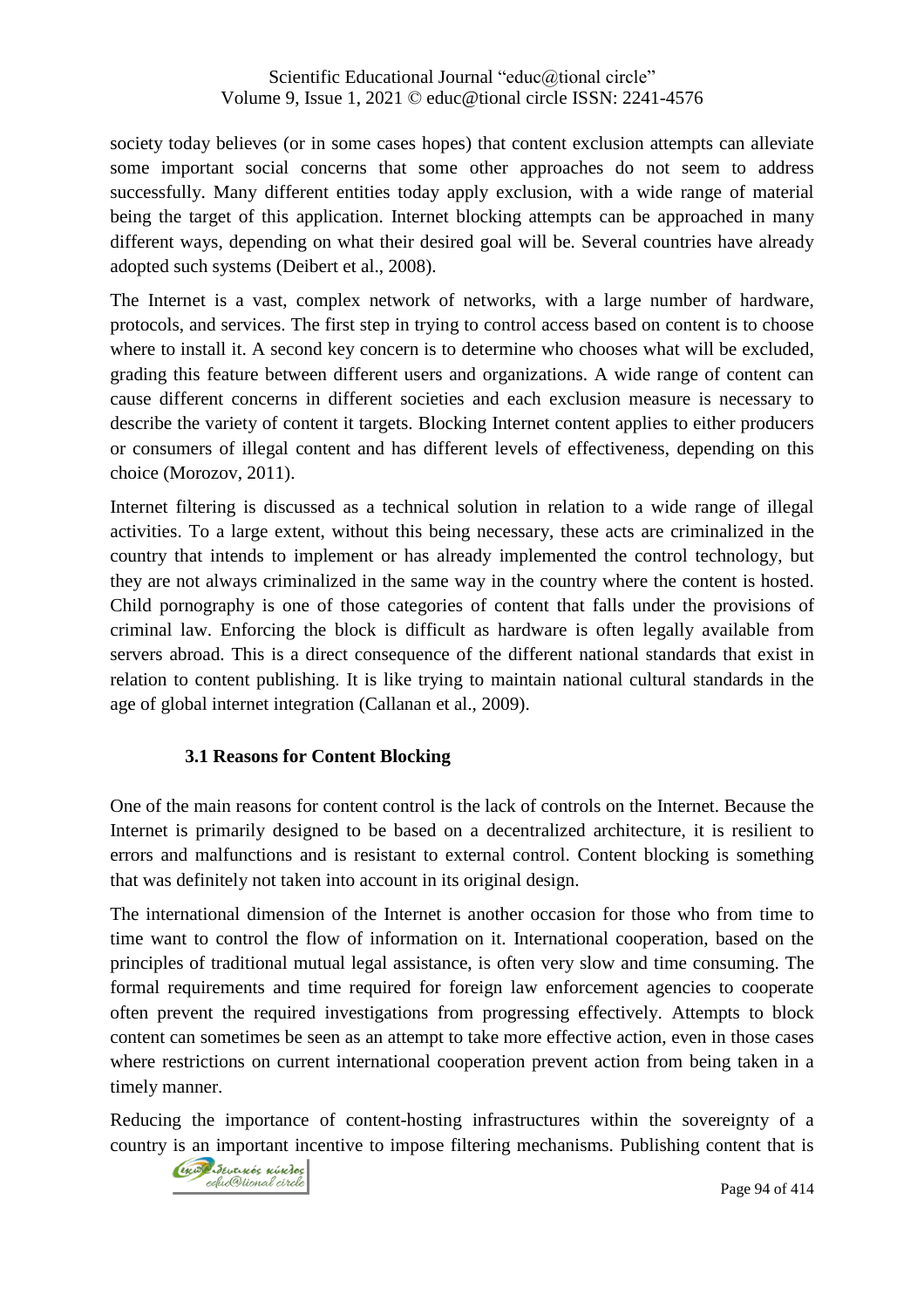society today believes (or in some cases hopes) that content exclusion attempts can alleviate some important social concerns that some other approaches do not seem to address successfully. Many different entities today apply exclusion, with a wide range of material being the target of this application. Internet blocking attempts can be approached in many different ways, depending on what their desired goal will be. Several countries have already adopted such systems (Deibert et al., 2008).

The Internet is a vast, complex network of networks, with a large number of hardware, protocols, and services. The first step in trying to control access based on content is to choose where to install it. A second key concern is to determine who chooses what will be excluded, grading this feature between different users and organizations. A wide range of content can cause different concerns in different societies and each exclusion measure is necessary to describe the variety of content it targets. Blocking Internet content applies to either producers or consumers of illegal content and has different levels of effectiveness, depending on this choice (Morozov, 2011).

Internet filtering is discussed as a technical solution in relation to a wide range of illegal activities. To a large extent, without this being necessary, these acts are criminalized in the country that intends to implement or has already implemented the control technology, but they are not always criminalized in the same way in the country where the content is hosted. Child pornography is one of those categories of content that falls under the provisions of criminal law. Enforcing the block is difficult as hardware is often legally available from servers abroad. This is a direct consequence of the different national standards that exist in relation to content publishing. It is like trying to maintain national cultural standards in the age of global internet integration (Callanan et al., 2009).

## **3.1 Reasons for Content Blocking**

One of the main reasons for content control is the lack of controls on the Internet. Because the Internet is primarily designed to be based on a decentralized architecture, it is resilient to errors and malfunctions and is resistant to external control. Content blocking is something that was definitely not taken into account in its original design.

The international dimension of the Internet is another occasion for those who from time to time want to control the flow of information on it. International cooperation, based on the principles of traditional mutual legal assistance, is often very slow and time consuming. The formal requirements and time required for foreign law enforcement agencies to cooperate often prevent the required investigations from progressing effectively. Attempts to block content can sometimes be seen as an attempt to take more effective action, even in those cases where restrictions on current international cooperation prevent action from being taken in a timely manner.

Reducing the importance of content-hosting infrastructures within the sovereignty of a country is an important incentive to impose filtering mechanisms. Publishing content that is

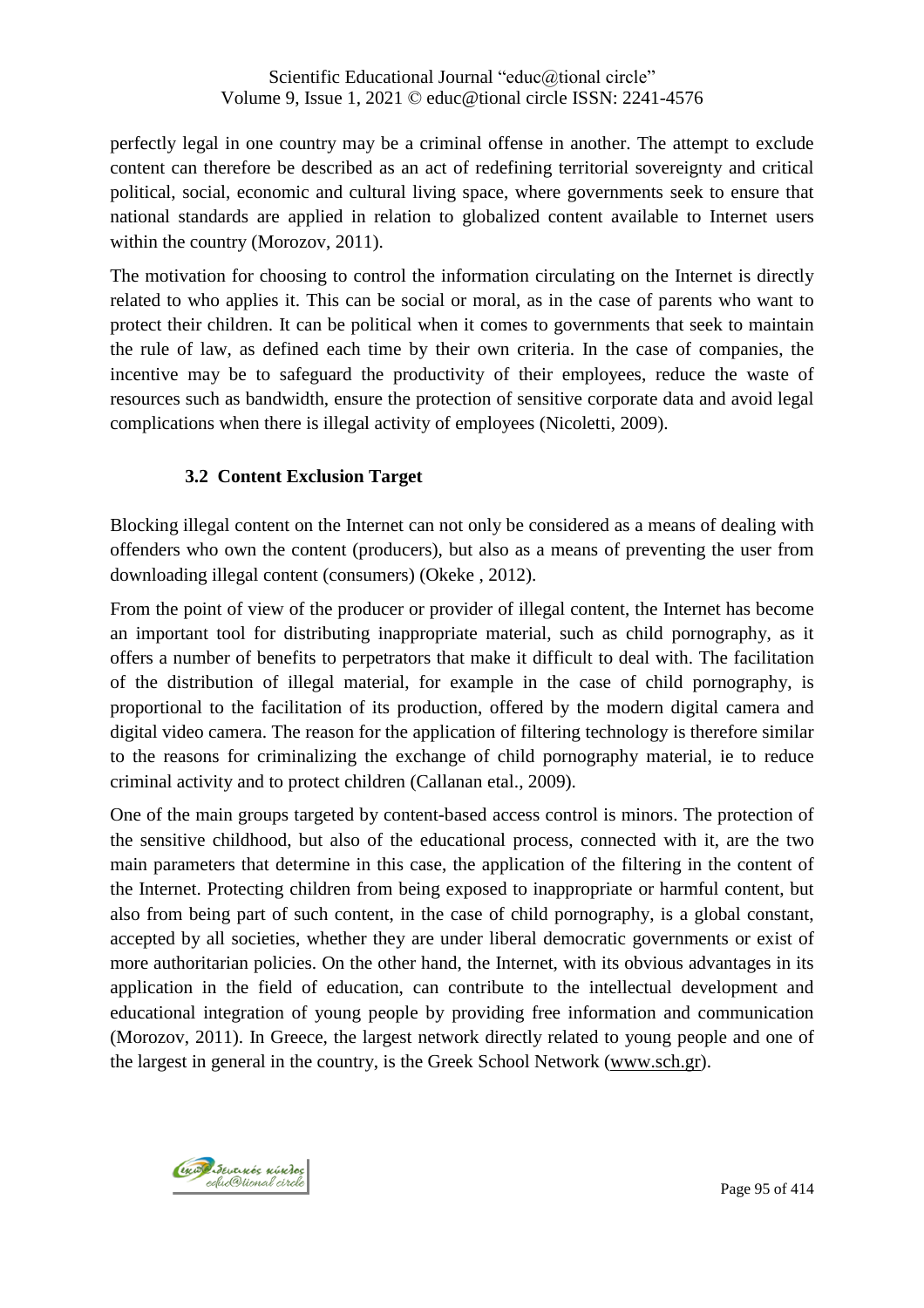perfectly legal in one country may be a criminal offense in another. The attempt to exclude content can therefore be described as an act of redefining territorial sovereignty and critical political, social, economic and cultural living space, where governments seek to ensure that national standards are applied in relation to globalized content available to Internet users within the country (Morozov, 2011).

The motivation for choosing to control the information circulating on the Internet is directly related to who applies it. This can be social or moral, as in the case of parents who want to protect their children. It can be political when it comes to governments that seek to maintain the rule of law, as defined each time by their own criteria. In the case of companies, the incentive may be to safeguard the productivity of their employees, reduce the waste of resources such as bandwidth, ensure the protection of sensitive corporate data and avoid legal complications when there is illegal activity of employees (Nicoletti, 2009).

#### **3.2 Content Exclusion Target**

Blocking illegal content on the Internet can not only be considered as a means of dealing with offenders who own the content (producers), but also as a means of preventing the user from downloading illegal content (consumers) (Okeke , 2012).

From the point of view of the producer or provider of illegal content, the Internet has become an important tool for distributing inappropriate material, such as child pornography, as it offers a number of benefits to perpetrators that make it difficult to deal with. The facilitation of the distribution of illegal material, for example in the case of child pornography, is proportional to the facilitation of its production, offered by the modern digital camera and digital video camera. The reason for the application of filtering technology is therefore similar to the reasons for criminalizing the exchange of child pornography material, ie to reduce criminal activity and to protect children (Callanan etal., 2009).

One of the main groups targeted by content-based access control is minors. The protection of the sensitive childhood, but also of the educational process, connected with it, are the two main parameters that determine in this case, the application of the filtering in the content of the Internet. Protecting children from being exposed to inappropriate or harmful content, but also from being part of such content, in the case of child pornography, is a global constant, accepted by all societies, whether they are under liberal democratic governments or exist of more authoritarian policies. On the other hand, the Internet, with its obvious advantages in its application in the field of education, can contribute to the intellectual development and educational integration of young people by providing free information and communication (Morozov, 2011). In Greece, the largest network directly related to young people and one of the largest in general in the country, is the Greek School Network [\(www.sch.gr\)](http://www.sch.gr/).

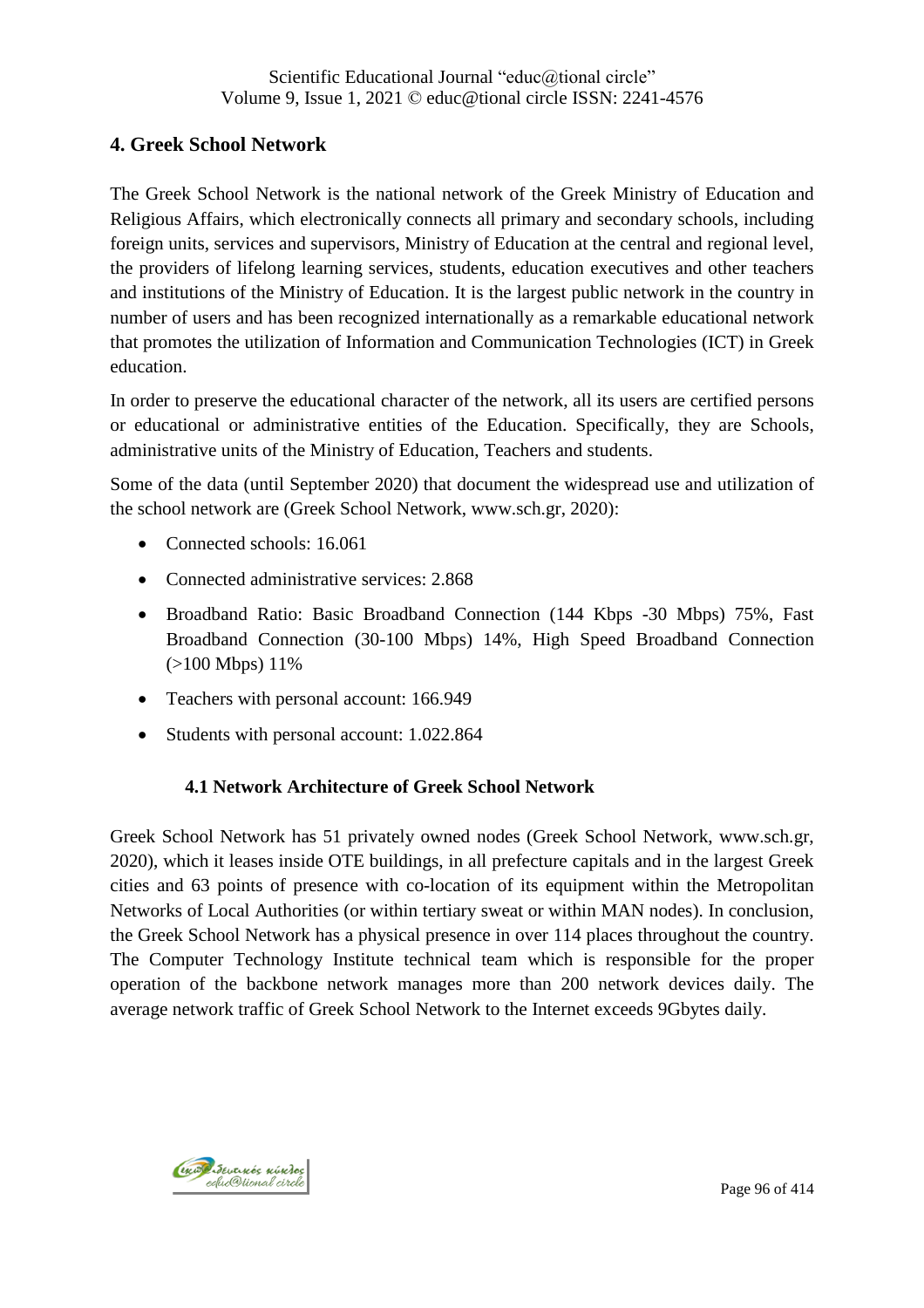## **4. Greek School Network**

The Greek School Network is the national network of the Greek Ministry of Education and Religious Affairs, which electronically connects all primary and secondary schools, including foreign units, services and supervisors, Ministry of Education at the central and regional level, the providers of lifelong learning services, students, education executives and other teachers and institutions of the Ministry of Education. It is the largest public network in the country in number of users and has been recognized internationally as a remarkable educational network that promotes the utilization of Information and Communication Technologies (ICT) in Greek education.

In order to preserve the educational character of the network, all its users are certified persons or educational or administrative entities of the Education. Specifically, they are Schools, administrative units of the Ministry of Education, Teachers and students.

Some of the data (until September 2020) that document the widespread use and utilization of the school network are (Greek School Network, www.sch.gr, 2020):

- Connected schools: 16.061
- Connected administrative services: 2.868
- Broadband Ratio: Basic Broadband Connection (144 Kbps -30 Mbps) 75%, Fast Broadband Connection (30-100 Mbps) 14%, High Speed Broadband Connection (>100 Mbps) 11%
- Teachers with personal account: 166.949
- Students with personal account: 1.022.864

## **4.1 Network Architecture of Greek School Network**

Greek School Network has 51 privately owned nodes (Greek School Network, www.sch.gr, 2020), which it leases inside OTE buildings, in all prefecture capitals and in the largest Greek cities and 63 points of presence with co-location of its equipment within the Metropolitan Networks of Local Authorities (or within tertiary sweat or within MAN nodes). In conclusion, the Greek School Network has a physical presence in over 114 places throughout the country. The Computer Technology Institute technical team which is responsible for the proper operation of the backbone network manages more than 200 network devices daily. The average network traffic of Greek School Network to the Internet exceeds 9Gbytes daily.

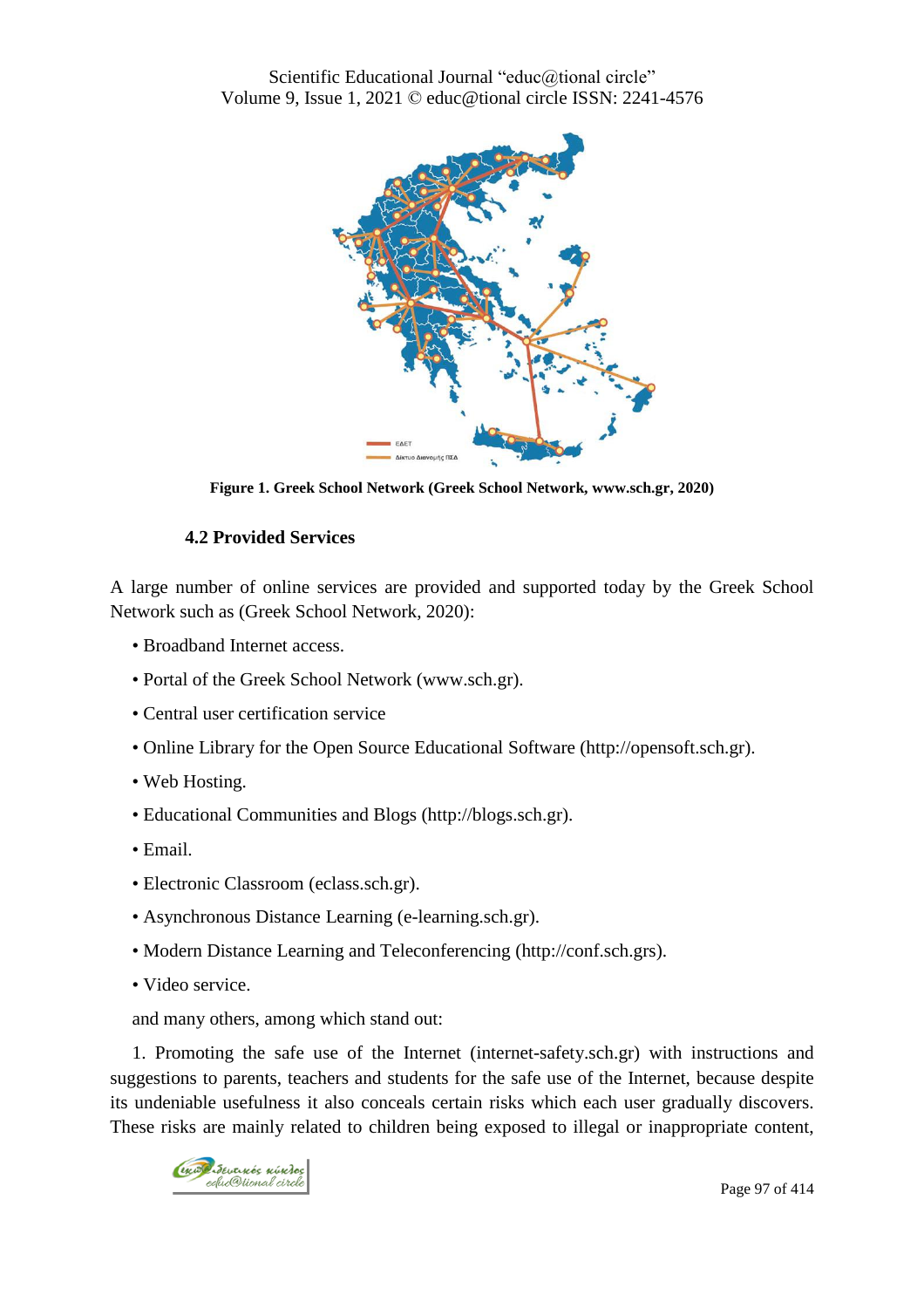

**Figure 1. Greek School Network (Greek School Network, www.sch.gr, 2020)**

### **4.2 Provided Services**

A large number of online services are provided and supported today by the Greek School Network such as (Greek School Network, 2020):

- Broadband Internet access.
- Portal of the Greek School Network (www.sch.gr).
- Central user certification service
- Online Library for the Open Source Educational Software (http://opensoft.sch.gr).
- Web Hosting.
- Educational Communities and Blogs (http://blogs.sch.gr).
- Email.
- Electronic Classroom (eclass.sch.gr).
- Asynchronous Distance Learning (e-learning.sch.gr).
- Modern Distance Learning and Teleconferencing (http://conf.sch.grs).
- Video service.

and many others, among which stand out:

1. Promoting the safe use of the Internet (internet-safety.sch.gr) with instructions and suggestions to parents, teachers and students for the safe use of the Internet, because despite its undeniable usefulness it also conceals certain risks which each user gradually discovers. These risks are mainly related to children being exposed to illegal or inappropriate content,

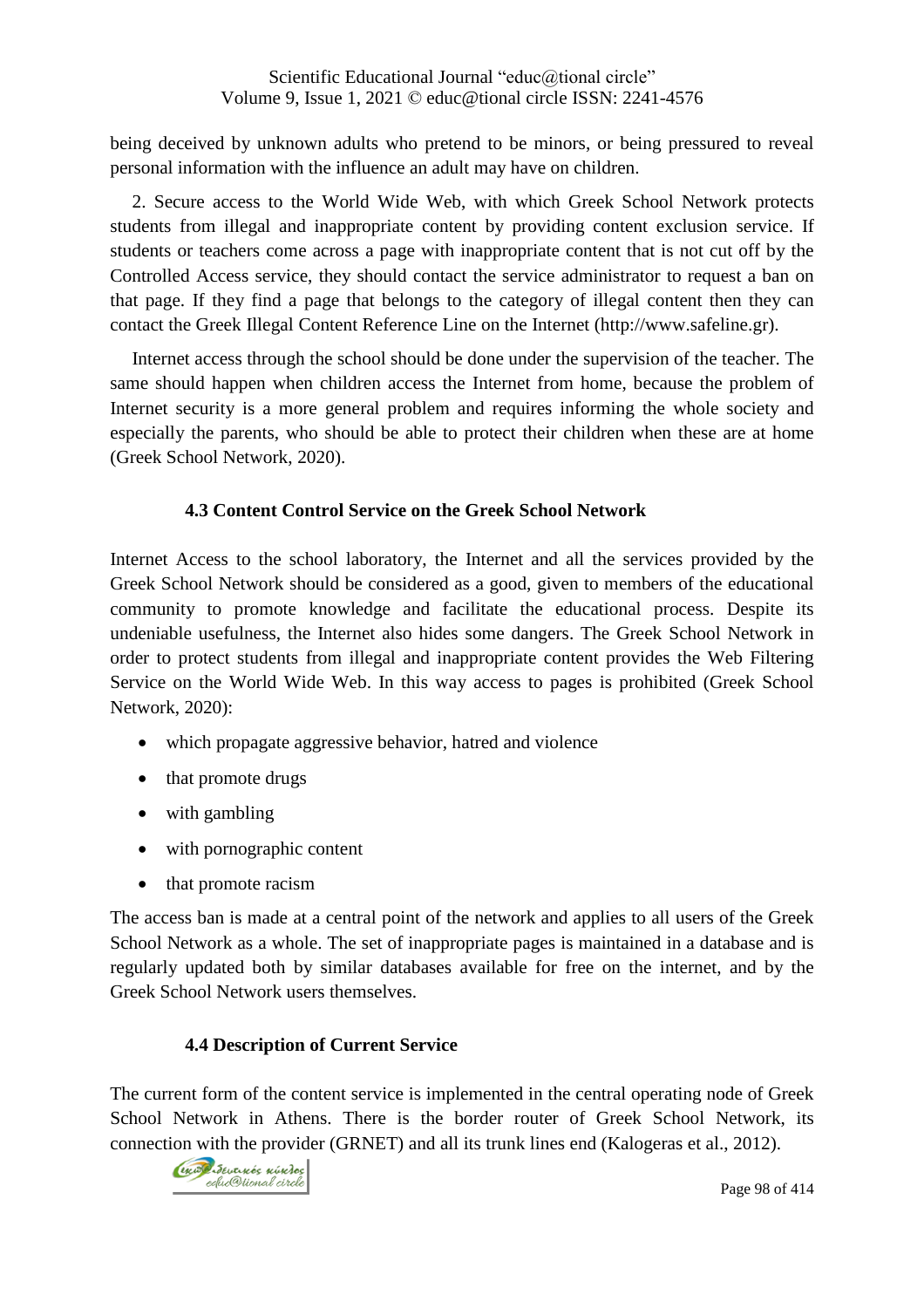being deceived by unknown adults who pretend to be minors, or being pressured to reveal personal information with the influence an adult may have on children.

2. Secure access to the World Wide Web, with which Greek School Network protects students from illegal and inappropriate content by providing content exclusion service. If students or teachers come across a page with inappropriate content that is not cut off by the Controlled Access service, they should contact the service administrator to request a ban on that page. If they find a page that belongs to the category of illegal content then they can contact the Greek Illegal Content Reference Line on the Internet (http://www.safeline.gr).

Internet access through the school should be done under the supervision of the teacher. The same should happen when children access the Internet from home, because the problem of Internet security is a more general problem and requires informing the whole society and especially the parents, who should be able to protect their children when these are at home (Greek School Network, 2020).

### **4.3 Content Control Service on the Greek School Network**

Internet Access to the school laboratory, the Internet and all the services provided by the Greek School Network should be considered as a good, given to members of the educational community to promote knowledge and facilitate the educational process. Despite its undeniable usefulness, the Internet also hides some dangers. The Greek School Network in order to protect students from illegal and inappropriate content provides the Web Filtering Service on the World Wide Web. In this way access to pages is prohibited (Greek School Network, 2020):

- which propagate aggressive behavior, hatred and violence
- that promote drugs
- with gambling
- with pornographic content
- that promote racism

The access ban is made at a central point of the network and applies to all users of the Greek School Network as a whole. The set of inappropriate pages is maintained in a database and is regularly updated both by similar databases available for free on the internet, and by the Greek School Network users themselves.

## **4.4 Description of Current Service**

The current form of the content service is implemented in the central operating node of Greek School Network in Athens. There is the border router of Greek School Network, its connection with the provider (GRNET) and all its trunk lines end (Kalogeras et al., 2012).

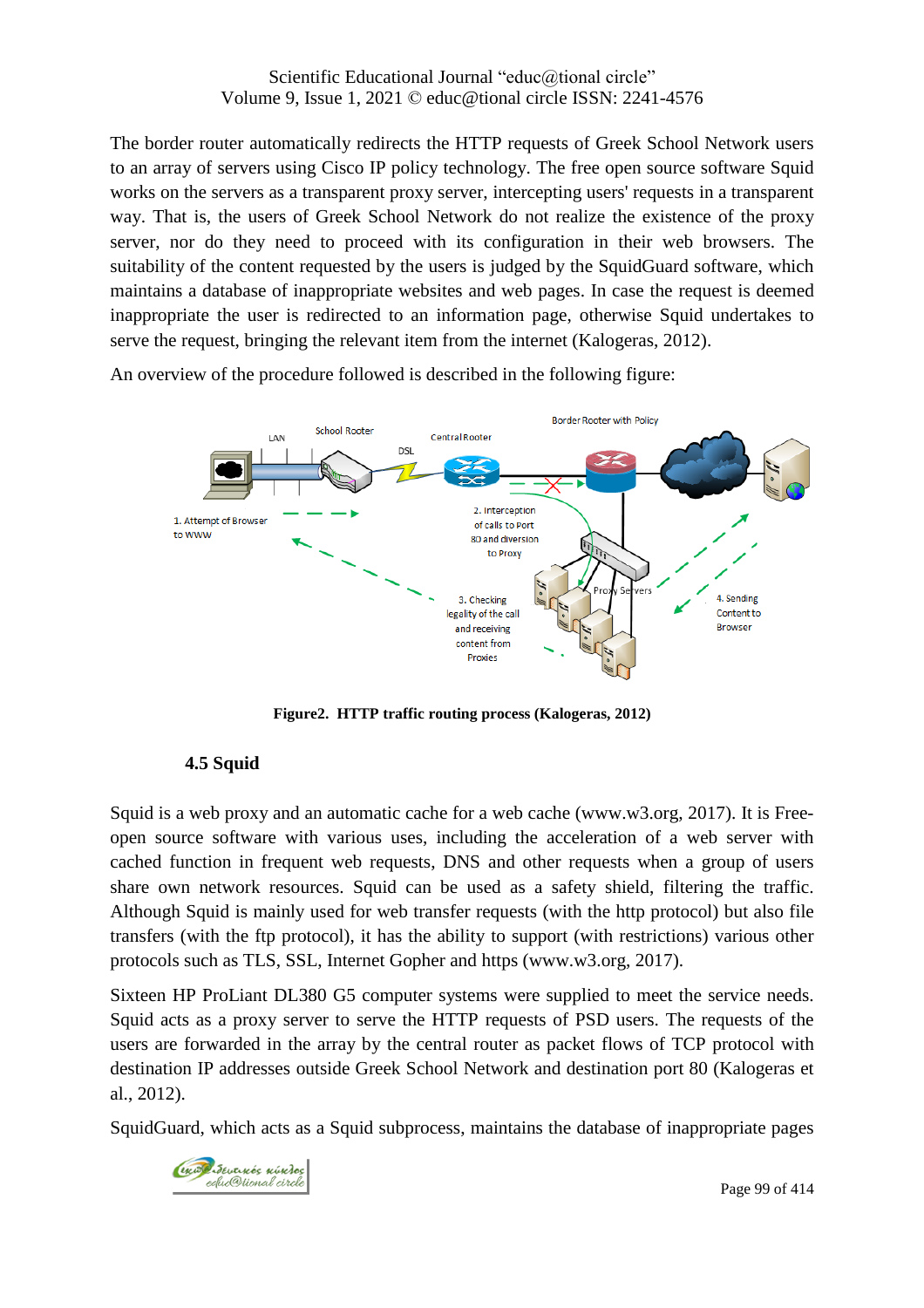The border router automatically redirects the HTTP requests of Greek School Network users to an array of servers using Cisco IP policy technology. The free open source software Squid works on the servers as a transparent proxy server, intercepting users' requests in a transparent way. That is, the users of Greek School Network do not realize the existence of the proxy server, nor do they need to proceed with its configuration in their web browsers. The suitability of the content requested by the users is judged by the SquidGuard software, which maintains a database of inappropriate websites and web pages. In case the request is deemed inappropriate the user is redirected to an information page, otherwise Squid undertakes to serve the request, bringing the relevant item from the internet (Kalogeras, 2012).

An overview of the procedure followed is described in the following figure:



**Figure2. HTTP traffic routing process (Kalogeras, 2012)**

## **4.5 Squid**

Squid is a web proxy and an automatic cache for a web cache (www.w3.org, 2017). It is Freeopen source software with various uses, including the acceleration of a web server with cached function in frequent web requests, DNS and other requests when a group of users share own network resources. Squid can be used as a safety shield, filtering the traffic. Although Squid is mainly used for web transfer requests (with the http protocol) but also file transfers (with the ftp protocol), it has the ability to support (with restrictions) various other protocols such as TLS, SSL, Internet Gopher and https (www.w3.org, 2017).

Sixteen HP ProLiant DL380 G5 computer systems were supplied to meet the service needs. Squid acts as a proxy server to serve the HTTP requests of PSD users. The requests of the users are forwarded in the array by the central router as packet flows of TCP protocol with destination IP addresses outside Greek School Network and destination port 80 (Kalogeras et al., 2012).

SquidGuard, which acts as a Squid subprocess, maintains the database of inappropriate pages

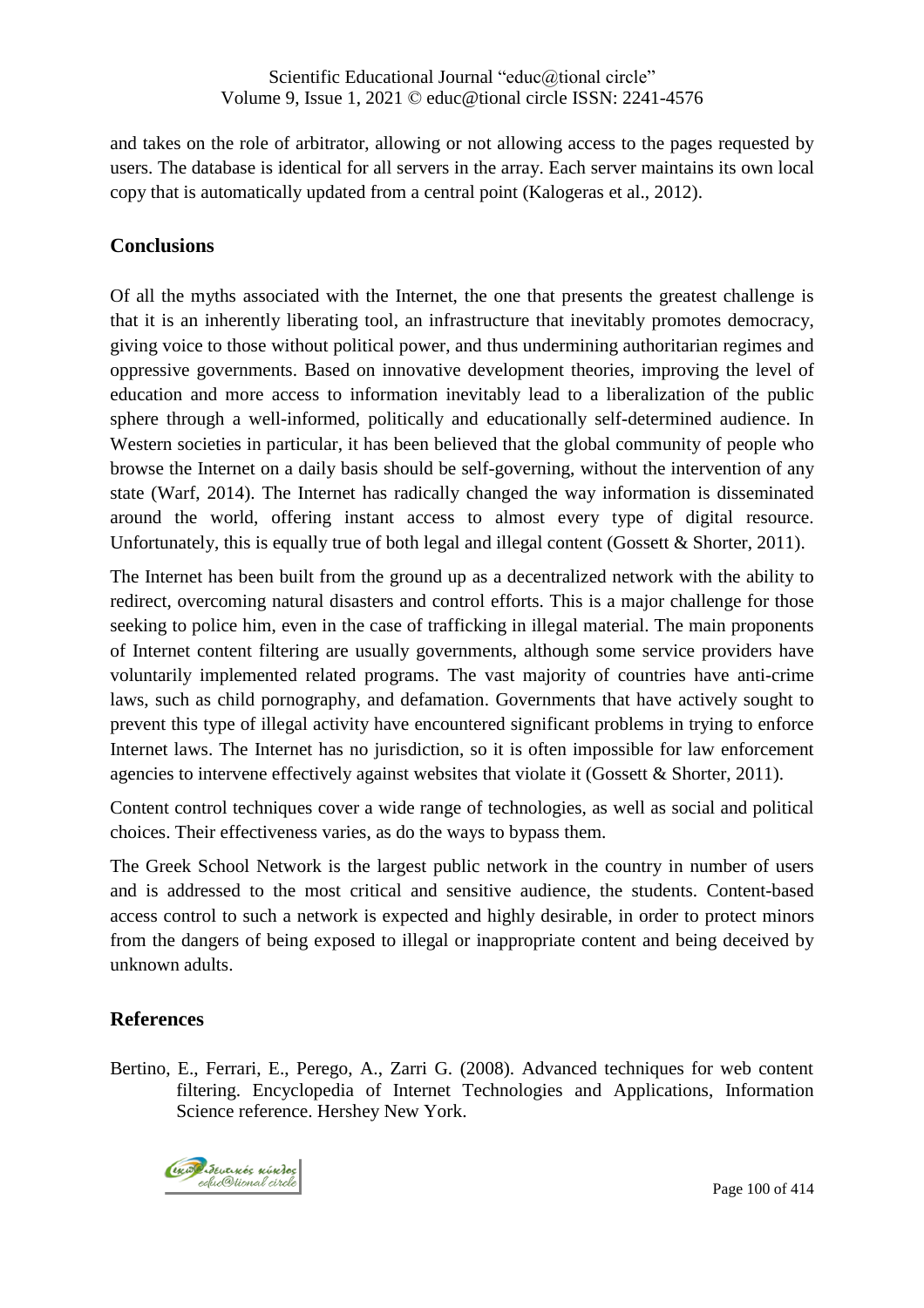and takes on the role of arbitrator, allowing or not allowing access to the pages requested by users. The database is identical for all servers in the array. Each server maintains its own local copy that is automatically updated from a central point (Kalogeras et al., 2012).

## **Conclusions**

Of all the myths associated with the Internet, the one that presents the greatest challenge is that it is an inherently liberating tool, an infrastructure that inevitably promotes democracy, giving voice to those without political power, and thus undermining authoritarian regimes and oppressive governments. Based on innovative development theories, improving the level of education and more access to information inevitably lead to a liberalization of the public sphere through a well-informed, politically and educationally self-determined audience. In Western societies in particular, it has been believed that the global community of people who browse the Internet on a daily basis should be self-governing, without the intervention of any state (Warf, 2014). The Internet has radically changed the way information is disseminated around the world, offering instant access to almost every type of digital resource. Unfortunately, this is equally true of both legal and illegal content (Gossett & Shorter, 2011).

The Internet has been built from the ground up as a decentralized network with the ability to redirect, overcoming natural disasters and control efforts. This is a major challenge for those seeking to police him, even in the case of trafficking in illegal material. The main proponents of Internet content filtering are usually governments, although some service providers have voluntarily implemented related programs. The vast majority of countries have anti-crime laws, such as child pornography, and defamation. Governments that have actively sought to prevent this type of illegal activity have encountered significant problems in trying to enforce Internet laws. The Internet has no jurisdiction, so it is often impossible for law enforcement agencies to intervene effectively against websites that violate it (Gossett & Shorter, 2011).

Content control techniques cover a wide range of technologies, as well as social and political choices. Their effectiveness varies, as do the ways to bypass them.

The Greek School Network is the largest public network in the country in number of users and is addressed to the most critical and sensitive audience, the students. Content-based access control to such a network is expected and highly desirable, in order to protect minors from the dangers of being exposed to illegal or inappropriate content and being deceived by unknown adults.

# **References**

Bertino, E., Ferrari, E., Perego, A., Zarri G. (2008). Advanced techniques for web content filtering. Encyclopedia of Internet Technologies and Applications, Information Science reference. Hershey New York.